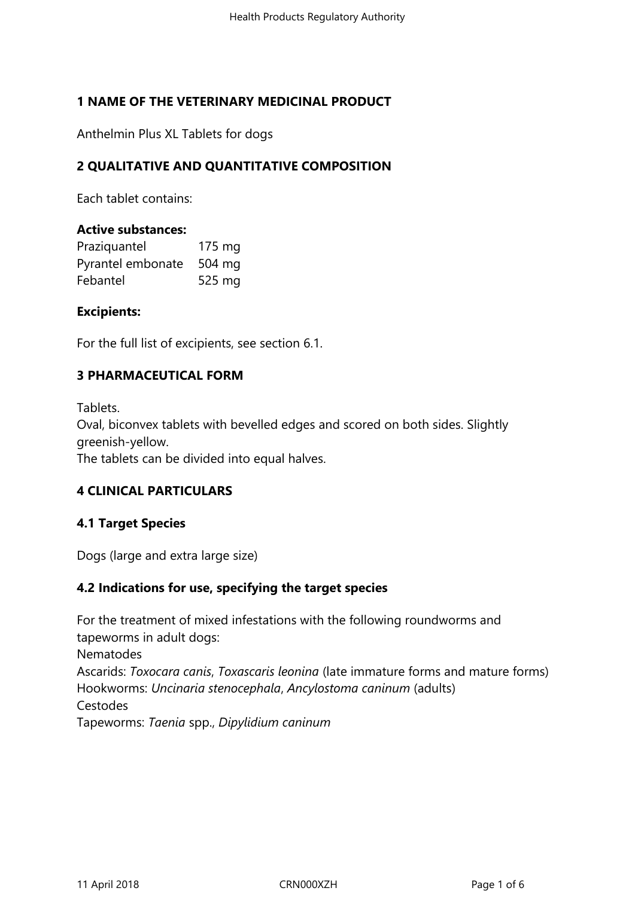## **1 NAME OF THE VETERINARY MEDICINAL PRODUCT**

Anthelmin Plus XL Tablets for dogs

### **2 QUALITATIVE AND QUANTITATIVE COMPOSITION**

Each tablet contains:

#### **Active substances:**

| Praziquantel      | 175 mg           |
|-------------------|------------------|
| Pyrantel embonate | $504 \text{ mg}$ |
| Febantel          | 525 mg           |

#### **Excipients:**

For the full list of excipients, see section 6.1.

### **3 PHARMACEUTICAL FORM**

Tablets. Oval, biconvex tablets with bevelled edges and scored on both sides. Slightly greenish-yellow. The tablets can be divided into equal halves.

### **4 CLINICAL PARTICULARS**

### **4.1 Target Species**

Dogs (large and extra large size)

### **4.2 Indications for use, specifying the target species**

For the treatment of mixed infestations with the following roundworms and tapeworms in adult dogs: Nematodes Ascarids: *Toxocara canis*, *Toxascaris leonina* (late immature forms and mature forms) Hookworms: *Uncinaria stenocephala*, *Ancylostoma caninum* (adults) Cestodes Tapeworms: *Taenia* spp., *Dipylidium caninum*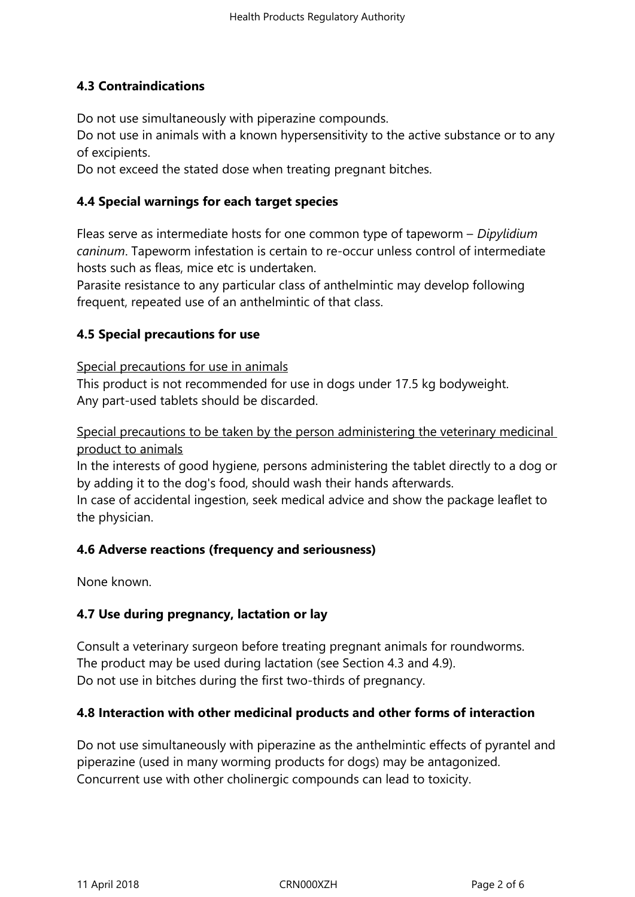# **4.3 Contraindications**

Do not use simultaneously with piperazine compounds.

Do not use in animals with a known hypersensitivity to the active substance or to any of excipients.

Do not exceed the stated dose when treating pregnant bitches.

### **4.4 Special warnings for each target species**

Fleas serve as intermediate hosts for one common type of tapeworm – *Dipylidium caninum*. Tapeworm infestation is certain to re-occur unless control of intermediate hosts such as fleas, mice etc is undertaken.

Parasite resistance to any particular class of anthelmintic may develop following frequent, repeated use of an anthelmintic of that class.

### **4.5 Special precautions for use**

Special precautions for use in animals

This product is not recommended for use in dogs under 17.5 kg bodyweight. Any part-used tablets should be discarded.

Special precautions to be taken by the person administering the veterinary medicinal product to animals

In the interests of good hygiene, persons administering the tablet directly to a dog or by adding it to the dog's food, should wash their hands afterwards.

In case of accidental ingestion, seek medical advice and show the package leaflet to the physician.

### **4.6 Adverse reactions (frequency and seriousness)**

None known.

### **4.7 Use during pregnancy, lactation or lay**

Consult a veterinary surgeon before treating pregnant animals for roundworms. The product may be used during lactation (see Section 4.3 and 4.9). Do not use in bitches during the first two-thirds of pregnancy.

### **4.8 Interaction with other medicinal products and other forms of interaction**

Do not use simultaneously with piperazine as the anthelmintic effects of pyrantel and piperazine (used in many worming products for dogs) may be antagonized. Concurrent use with other cholinergic compounds can lead to toxicity.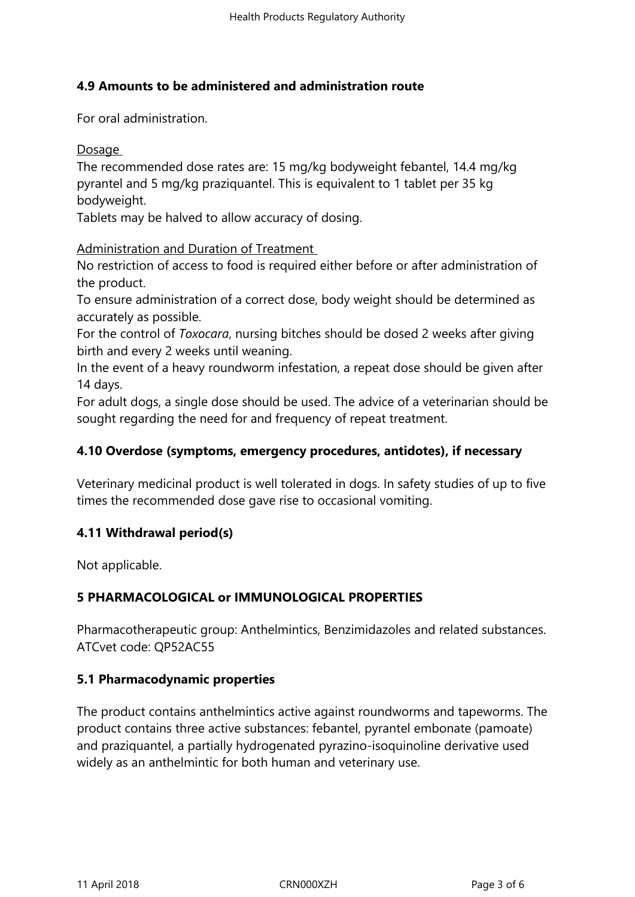### **4.9 Amounts to be administered and administration route**

For oral administration.

**Dosage** 

The recommended dose rates are: 15 mg/kg bodyweight febantel, 14.4 mg/kg pyrantel and 5 mg/kg praziquantel. This is equivalent to 1 tablet per 35 kg bodyweight.

Tablets may be halved to allow accuracy of dosing.

Administration and Duration of Treatment

No restriction of access to food is required either before or after administration of the product.

To ensure administration of a correct dose, body weight should be determined as accurately as possible.

For the control of *Toxocara*, nursing bitches should be dosed 2 weeks after giving birth and every 2 weeks until weaning.

In the event of a heavy roundworm infestation, a repeat dose should be given after 14 days.

For adult dogs, a single dose should be used. The advice of a veterinarian should be sought regarding the need for and frequency of repeat treatment.

### **4.10 Overdose (symptoms, emergency procedures, antidotes), if necessary**

Veterinary medicinal product is well tolerated in dogs. In safety studies of up to five times the recommended dose gave rise to occasional vomiting.

# **4.11 Withdrawal period(s)**

Not applicable.

# **5 PHARMACOLOGICAL or IMMUNOLOGICAL PROPERTIES**

Pharmacotherapeutic group: Anthelmintics, Benzimidazoles and related substances. ATCvet code: QP52AC55

### **5.1 Pharmacodynamic properties**

The product contains anthelmintics active against roundworms and tapeworms. The product contains three active substances: febantel, pyrantel embonate (pamoate) and praziquantel, a partially hydrogenated pyrazino-isoquinoline derivative used widely as an anthelmintic for both human and veterinary use.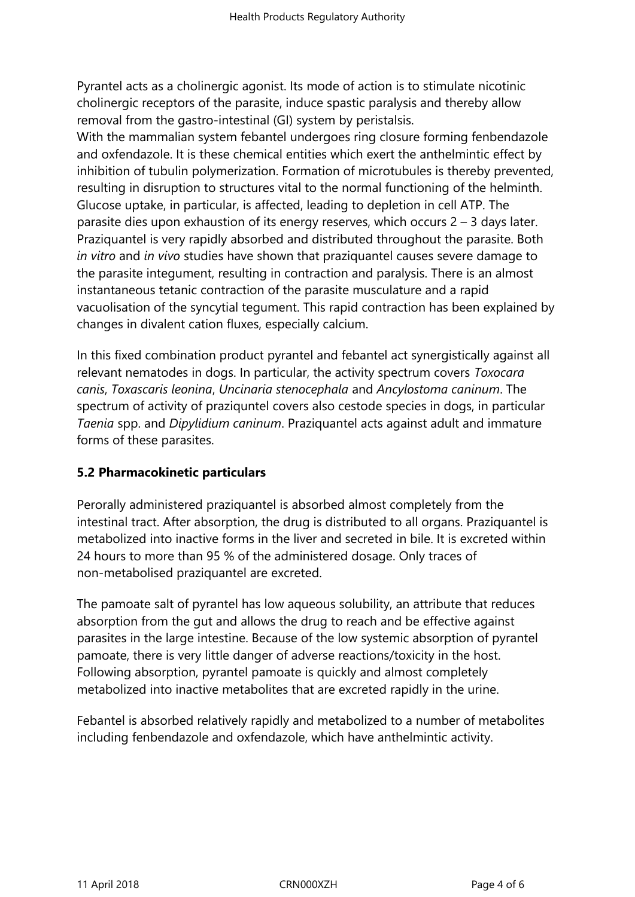Pyrantel acts as a cholinergic agonist. Its mode of action is to stimulate nicotinic cholinergic receptors of the parasite, induce spastic paralysis and thereby allow removal from the gastro-intestinal (GI) system by peristalsis.

With the mammalian system febantel undergoes ring closure forming fenbendazole and oxfendazole. It is these chemical entities which exert the anthelmintic effect by inhibition of tubulin polymerization. Formation of microtubules is thereby prevented, resulting in disruption to structures vital to the normal functioning of the helminth. Glucose uptake, in particular, is affected, leading to depletion in cell ATP. The parasite dies upon exhaustion of its energy reserves, which occurs 2 – 3 days later. Praziquantel is very rapidly absorbed and distributed throughout the parasite. Both *in vitro* and *in vivo* studies have shown that praziquantel causes severe damage to the parasite integument, resulting in contraction and paralysis. There is an almost instantaneous tetanic contraction of the parasite musculature and a rapid vacuolisation of the syncytial tegument. This rapid contraction has been explained by changes in divalent cation fluxes, especially calcium.

In this fixed combination product pyrantel and febantel act synergistically against all relevant nematodes in dogs. In particular, the activity spectrum covers *Toxocara canis*, *Toxascaris leonina*, *Uncinaria stenocephala* and *Ancylostoma caninum*. The spectrum of activity of praziquntel covers also cestode species in dogs, in particular *Taenia* spp. and *Dipylidium caninum*. Praziquantel acts against adult and immature forms of these parasites.

### **5.2 Pharmacokinetic particulars**

Perorally administered praziquantel is absorbed almost completely from the intestinal tract. After absorption, the drug is distributed to all organs. Praziquantel is metabolized into inactive forms in the liver and secreted in bile. It is excreted within 24 hours to more than 95 % of the administered dosage. Only traces of non-metabolised praziquantel are excreted.

The pamoate salt of pyrantel has low aqueous solubility, an attribute that reduces absorption from the gut and allows the drug to reach and be effective against parasites in the large intestine. Because of the low systemic absorption of pyrantel pamoate, there is very little danger of adverse reactions/toxicity in the host. Following absorption, pyrantel pamoate is quickly and almost completely metabolized into inactive metabolites that are excreted rapidly in the urine.

Febantel is absorbed relatively rapidly and metabolized to a number of metabolites including fenbendazole and oxfendazole, which have anthelmintic activity.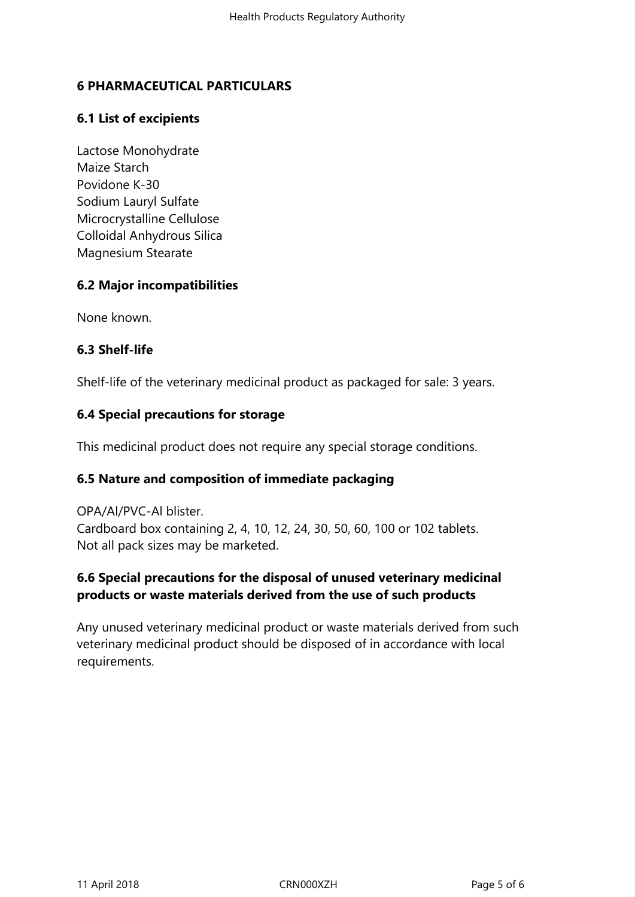### **6 PHARMACEUTICAL PARTICULARS**

### **6.1 List of excipients**

Lactose Monohydrate Maize Starch Povidone K-30 Sodium Lauryl Sulfate Microcrystalline Cellulose Colloidal Anhydrous Silica Magnesium Stearate

### **6.2 Major incompatibilities**

None known.

### **6.3 Shelf-life**

Shelf-life of the veterinary medicinal product as packaged for sale: 3 years.

## **6.4 Special precautions for storage**

This medicinal product does not require any special storage conditions.

### **6.5 Nature and composition of immediate packaging**

OPA/Al/PVC-Al blister. Cardboard box containing 2, 4, 10, 12, 24, 30, 50, 60, 100 or 102 tablets. Not all pack sizes may be marketed.

# **6.6 Special precautions for the disposal of unused veterinary medicinal products or waste materials derived from the use of such products**

Any unused veterinary medicinal product or waste materials derived from such veterinary medicinal product should be disposed of in accordance with local requirements.